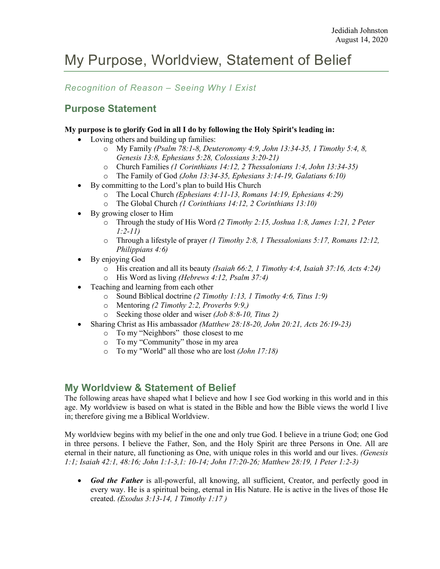# My Purpose, Worldview, Statement of Belief

## *Recognition of Reason – Seeing Why I Exist*

# **Purpose Statement**

#### **My purpose is to glorify God in all I do by following the Holy Spirit's leading in:**

- Loving others and building up families:
	- o My Family *(Psalm 78:1-8, Deuteronomy 4:9, John 13:34-35, 1 Timothy 5:4, 8, Genesis 13:8, Ephesians 5:28, Colossians 3:20-21)*
	- o Church Families *(1 Corinthians 14:12, 2 Thessalonians 1:4, John 13:34-35)*
	- o The Family of God *(John 13:34-35, Ephesians 3:14-19, Galatians 6:10)*
	- By committing to the Lord's plan to build His Church
		- o The Local Church *(Ephesians 4:11-13, Romans 14:19, Ephesians 4:29)*
		- o The Global Church *(1 Corinthians 14:12, 2 Corinthians 13:10)*
	- By growing closer to Him
		- o Through the study of His Word *(2 Timothy 2:15, Joshua 1:8, James 1:21, 2 Peter 1:2-11)*
		- o Through a lifestyle of prayer *(1 Timothy 2:8, 1 Thessalonians 5:17, Romans 12:12, Philippians 4:6)*
	- By enjoying God
		- o His creation and all its beauty *(Isaiah 66:2, 1 Timothy 4:4, Isaiah 37:16, Acts 4:24)*
		- o His Word as living *(Hebrews 4:12, Psalm 37:4)*
	- Teaching and learning from each other
		- o Sound Biblical doctrine *(2 Timothy 1:13, 1 Timothy 4:6, Titus 1:9)*
		- o Mentoring *(2 Timothy 2:2, Proverbs 9:9,)*
		- o Seeking those older and wiser *(Job 8:8-10, Titus 2)*
	- Sharing Christ as His ambassador *(Matthew 28:18-20, John 20:21, Acts 26:19-23)*
		- o To my "Neighbors" those closest to me
		- o To my "Community" those in my area
		- o To my "World" all those who are lost *(John 17:18)*

### **My Worldview & Statement of Belief**

The following areas have shaped what I believe and how I see God working in this world and in this age. My worldview is based on what is stated in the Bible and how the Bible views the world I live in; therefore giving me a Biblical Worldview.

My worldview begins with my belief in the one and only true God. I believe in a triune God; one God in three persons. I believe the Father, Son, and the Holy Spirit are three Persons in One. All are eternal in their nature, all functioning as One, with unique roles in this world and our lives. *(Genesis 1:1; Isaiah 42:1, 48:16; John 1:1-3,1: 10-14; John 17:20-26; Matthew 28:19, 1 Peter 1:2-3)*

• *God the Father* is all-powerful, all knowing, all sufficient, Creator, and perfectly good in every way. He is a spiritual being, eternal in His Nature. He is active in the lives of those He created. *(Exodus 3:13-14, 1 Timothy 1:17 )*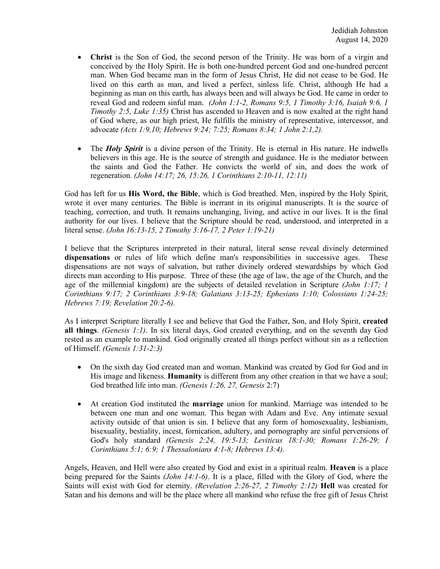- **Christ** is the Son of God, the second person of the Trinity. He was born of a virgin and conceived by the Holy Spirit. He is both one-hundred percent God and one-hundred percent man. When God became man in the form of Jesus Christ, He did not cease to be God. He lived on this earth as man, and lived a perfect, sinless life. Christ, although He had a beginning as man on this earth, has always been and will always be God. He came in order to reveal God and redeem sinful man. *(John 1:1-2, Romans 9:5, 1 Timothy 3:16, Isaiah 9:6, 1 Timothy 2:5, Luke 1:35)* Christ has ascended to Heaven and is now exalted at the right hand of God where, as our high priest, He fulfills the ministry of representative, intercessor, and advocate *(Acts 1:9,10; Hebrews 9:24; 7:25; Romans 8:34; 1 John 2:1,2).*
- The *Holy Spirit* is a divine person of the Trinity. He is eternal in His nature. He indwells believers in this age. He is the source of strength and guidance. He is the mediator between the saints and God the Father. He convicts the world of sin, and does the work of regeneration. *(John 14:17; 26, 15:26, 1 Corinthians 2:10-11, 12:11)*

God has left for us **His Word, the Bible**, which is God breathed. Men, inspired by the Holy Spirit, wrote it over many centuries. The Bible is inerrant in its original manuscripts. It is the source of teaching, correction, and truth. It remains unchanging, living, and active in our lives. It is the final authority for our lives. I believe that the Scripture should be read, understood, and interpreted in a literal sense. *(John 16:13-15, 2 Timothy 3:16-17, 2 Peter 1:19-21)*

I believe that the Scriptures interpreted in their natural, literal sense reveal divinely determined **dispensations** or rules of life which define man's responsibilities in successive ages. These dispensations are not ways of salvation, but rather divinely ordered stewardships by which God directs man according to His purpose. Three of these (the age of law, the age of the Church, and the age of the millennial kingdom) are the subjects of detailed revelation in Scripture *(John 1:17; 1 Corinthians 9:17; 2 Corinthians 3:9-18; Galatians 3:13-25; Ephesians 1:10; Colossians 1:24-25; Hebrews 7:19; Revelation 20:2-6).*

As I interpret Scripture literally I see and believe that God the Father, Son, and Holy Spirit, **created all things**. *(Genesis 1:1)*. In six literal days, God created everything, and on the seventh day God rested as an example to mankind. God originally created all things perfect without sin as a reflection of Himself. *(Genesis 1:31-2:3)*

- On the sixth day God created man and woman. Mankind was created by God for God and in His image and likeness. **Humanity** is different from any other creation in that we have a soul; God breathed life into man. *(Genesis 1:26, 27, Genesis* 2:7)
- At creation God instituted the **marriage** union for mankind. Marriage was intended to be between one man and one woman. This began with Adam and Eve. Any intimate sexual activity outside of that union is sin. I believe that any form of homosexuality, lesbianism, bisexuality, bestiality, incest, fornication, adultery, and pornography are sinful perversions of God's holy standard *(Genesis 2:24, 19:5-13; Leviticus 18:1-30; Romans 1:26-29; I Corinthians 5:1; 6:9; 1 Thessalonians 4:1-8; Hebrews 13:4).*

Angels, Heaven, and Hell were also created by God and exist in a spiritual realm. **Heaven** is a place being prepared for the Saints *(John 14:1-6)*. It is a place, filled with the Glory of God, where the Saints will exist with God for eternity. *(Revelation 2:26-27, 2 Timothy 2:12)* **Hell** was created for Satan and his demons and will be the place where all mankind who refuse the free gift of Jesus Christ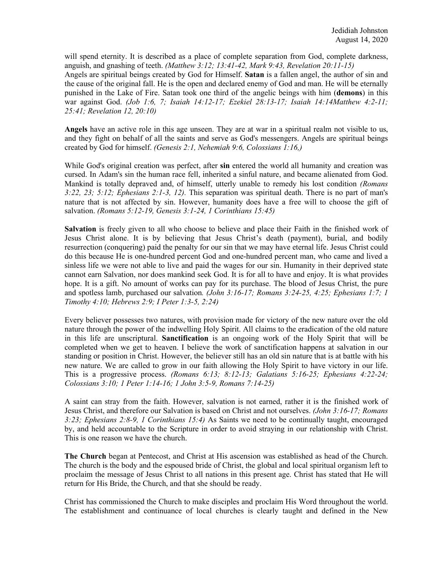will spend eternity. It is described as a place of complete separation from God, complete darkness, anguish, and gnashing of teeth. *(Matthew 3:12; 13:41-42, Mark 9:43, Revelation 20:11-15)* Angels are spiritual beings created by God for Himself. **Satan** is a fallen angel, the author of sin and the cause of the original fall. He is the open and declared enemy of God and man. He will be eternally punished in the Lake of Fire. Satan took one third of the angelic beings with him (**demons**) in this war against God. *(Job 1:6, 7; Isaiah 14:12-17; Ezekiel 28:13-17; Isaiah 14:14Matthew 4:2-11; 25:41; Revelation 12, 20:10)*

**Angels** have an active role in this age unseen. They are at war in a spiritual realm not visible to us, and they fight on behalf of all the saints and serve as God's messengers. Angels are spiritual beings created by God for himself. *(Genesis 2:1, Nehemiah 9:6, Colossians 1:16,)*

While God's original creation was perfect, after **sin** entered the world all humanity and creation was cursed. In Adam's sin the human race fell, inherited a sinful nature, and became alienated from God. Mankind is totally depraved and, of himself, utterly unable to remedy his lost condition *(Romans 3:22, 23; 5:12; Ephesians 2:1-3, 12).* This separation was spiritual death. There is no part of man's nature that is not affected by sin. However, humanity does have a free will to choose the gift of salvation. *(Romans 5:12-19, Genesis 3:1-24, 1 Corinthians 15:45)*

**Salvation** is freely given to all who choose to believe and place their Faith in the finished work of Jesus Christ alone. It is by believing that Jesus Christ's death (payment), burial, and bodily resurrection (conquering) paid the penalty for our sin that we may have eternal life. Jesus Christ could do this because He is one-hundred percent God and one-hundred percent man, who came and lived a sinless life we were not able to live and paid the wages for our sin. Humanity in their deprived state cannot earn Salvation, nor does mankind seek God. It is for all to have and enjoy. It is what provides hope. It is a gift. No amount of works can pay for its purchase. The blood of Jesus Christ, the pure and spotless lamb, purchased our salvation*. (John 3:16-17; Romans 3:24-25, 4:25; Ephesians 1:7; 1 Timothy 4:10; Hebrews 2:9; I Peter 1:3-5, 2:24)*

Every believer possesses two natures, with provision made for victory of the new nature over the old nature through the power of the indwelling Holy Spirit. All claims to the eradication of the old nature in this life are unscriptural. **Sanctification** is an ongoing work of the Holy Spirit that will be completed when we get to heaven. I believe the work of sanctification happens at salvation in our standing or position in Christ. However, the believer still has an old sin nature that is at battle with his new nature. We are called to grow in our faith allowing the Holy Spirit to have victory in our life. This is a progressive process. *(Romans 6:13; 8:12-13; Galatians 5:16-25; Ephesians 4:22-24; Colossians 3:10; 1 Peter 1:14-16; 1 John 3:5-9, Romans 7:14-25)*

A saint can stray from the faith. However, salvation is not earned, rather it is the finished work of Jesus Christ, and therefore our Salvation is based on Christ and not ourselves. *(John 3:16-17; Romans 3:23; Ephesians 2:8-9, 1 Corinthians 15:4)* As Saints we need to be continually taught, encouraged by, and held accountable to the Scripture in order to avoid straying in our relationship with Christ. This is one reason we have the church.

**The Church** began at Pentecost, and Christ at His ascension was established as head of the Church. The church is the body and the espoused bride of Christ, the global and local spiritual organism left to proclaim the message of Jesus Christ to all nations in this present age. Christ has stated that He will return for His Bride, the Church, and that she should be ready.

Christ has commissioned the Church to make disciples and proclaim His Word throughout the world. The establishment and continuance of local churches is clearly taught and defined in the New